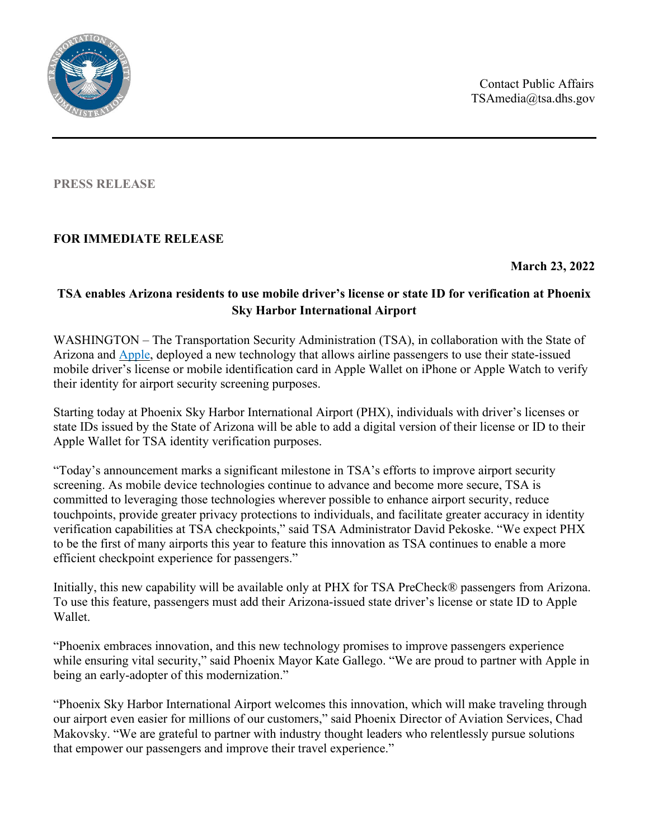Contact Public Affairs TSAmedia@tsa.dhs.gov



**PRESS RELEASE**

## **FOR IMMEDIATE RELEASE**

**March 23, 2022**

## **TSA enables Arizona residents to use mobile driver's license or state ID for verification at Phoenix Sky Harbor International Airport**

WASHINGTON – The Transportation Security Administration (TSA), in collaboration with the State of Arizona and [Apple,](https://www.apple.com/newsroom/2022/03/apple-launches-the-first-drivers-license-and-state-id-in-wallet-with-arizona/) deployed a new technology that allows airline passengers to use their state-issued mobile driver's license or mobile identification card in Apple Wallet on iPhone or Apple Watch to verify their identity for airport security screening purposes.

Starting today at Phoenix Sky Harbor International Airport (PHX), individuals with driver's licenses or state IDs issued by the State of Arizona will be able to add a digital version of their license or ID to their Apple Wallet for TSA identity verification purposes.

"Today's announcement marks a significant milestone in TSA's efforts to improve airport security screening. As mobile device technologies continue to advance and become more secure, TSA is committed to leveraging those technologies wherever possible to enhance airport security, reduce touchpoints, provide greater privacy protections to individuals, and facilitate greater accuracy in identity verification capabilities at TSA checkpoints," said TSA Administrator David Pekoske. "We expect PHX to be the first of many airports this year to feature this innovation as TSA continues to enable a more efficient checkpoint experience for passengers."

Initially, this new capability will be available only at PHX for TSA PreCheck® passengers from Arizona. To use this feature, passengers must add their Arizona-issued state driver's license or state ID to Apple Wallet.

"Phoenix embraces innovation, and this new technology promises to improve passengers experience while ensuring vital security," said Phoenix Mayor Kate Gallego. "We are proud to partner with Apple in being an early-adopter of this modernization."

"Phoenix Sky Harbor International Airport welcomes this innovation, which will make traveling through our airport even easier for millions of our customers," said Phoenix Director of Aviation Services, Chad Makovsky. "We are grateful to partner with industry thought leaders who relentlessly pursue solutions that empower our passengers and improve their travel experience."